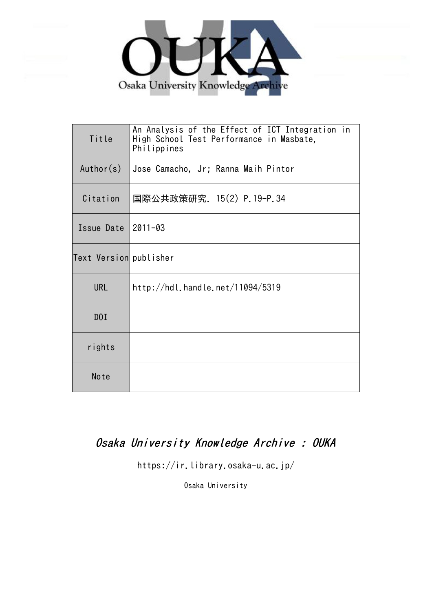

| Title                  | An Analysis of the Effect of ICT Integration in<br>High School Test Performance in Masbate,<br>Philippines |
|------------------------|------------------------------------------------------------------------------------------------------------|
| Author(s)              | Jose Camacho, Jr; Ranna Maih Pintor                                                                        |
| Citation               | 国際公共政策研究. 15(2) P.19-P.34                                                                                  |
| Issue Date   2011-03   |                                                                                                            |
| Text Version publisher |                                                                                                            |
| <b>URL</b>             | http://hdl.handle.net/11094/5319                                                                           |
| DOI                    |                                                                                                            |
| rights                 |                                                                                                            |
| Note                   |                                                                                                            |

# Osaka University Knowledge Archive : OUKA

https://ir.library.osaka-u.ac.jp/

Osaka University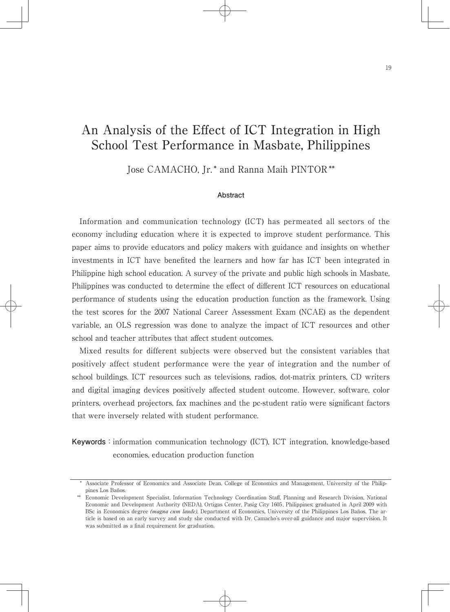# An Analysis of the Effect of ICT Integration in High School Test Performance in Masbate, Philippines

Jose CAMACHO, Jr.\* and Ranna Maih PINTOR \*\*

#### **Abstract**

Information and communication technology (ICT) has permeated all sectors of the economy including education where it is expected to improve student performance. This paper aims to provide educators and policy makers with guidance and insights on whether investments in ICT have benefited the learners and how far has ICT been integrated in Philippine high school education. A survey of the private and public high schools in Masbate, Philippines was conducted to determine the effect of different ICT resources on educational performance of students using the education production function as the framework. Using the test scores for the 2007 National Career Assessment Exam (NCAE) as the dependent variable, an OLS regression was done to analyze the impact of ICT resources and other school and teacher attributes that affect student outcomes.

Mixed results for different subjects were observed but the consistent variables that positively affect student performance were the year of integration and the number of school buildings. ICT resources such as televisions, radios, dot-matrix printers, CD writers and digital imaging devices positively affected student outcome. However, software, color printers, overhead projectors, fax machines and the pc-student ratio were significant factors that were inversely related with student performance.

**Keywords**: information communication technology (ICT), ICT integration, knowledge-based economies, education production function

 <sup>\*</sup> Associate Professor of Economics and Associate Dean, College of Economics and Management, University of the Philippines Los Baños.

<sup>\*\*</sup> Economic Development Specialist, Information Technology Coordination Staff, Planning and Research Division, National Economic and Development Authority (NEDA), Ortigas Center, Pasig City 1605, Philippines; graduated in April 2009 with BSc in Economics degree (magna cum laude), Department of Economics, University of the Philippines Los Baños. The article is based on an early survey and study she conducted with Dr. Camacho's over-all guidance and major supervision. It was submitted as a final requirement for graduation.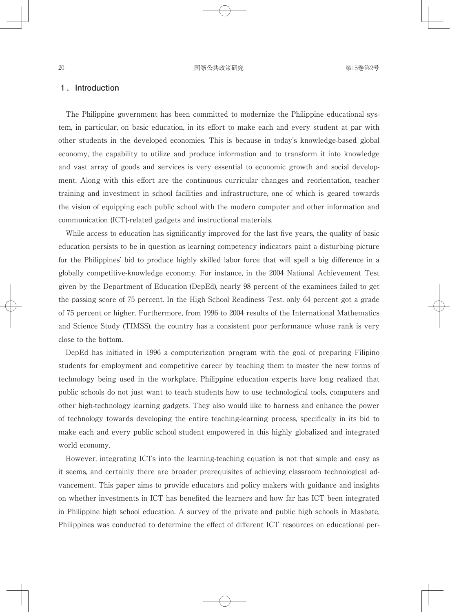#### **1 .Introduction**

The Philippine government has been committed to modernize the Philippine educational system, in particular, on basic education, in its effort to make each and every student at par with other students in the developed economies. This is because in today's knowledge-based global economy, the capability to utilize and produce information and to transform it into knowledge and vast array of goods and services is very essential to economic growth and social development. Along with this effort are the continuous curricular changes and reorientation, teacher training and investment in school facilities and infrastructure, one of which is geared towards the vision of equipping each public school with the modern computer and other information and communication (ICT)-related gadgets and instructional materials.

While access to education has significantly improved for the last five years, the quality of basic education persists to be in question as learning competency indicators paint a disturbing picture for the Philippines' bid to produce highly skilled labor force that will spell a big difference in a globally competitive-knowledge economy. For instance, in the 2004 National Achievement Test given by the Department of Education (DepEd), nearly 98 percent of the examinees failed to get the passing score of 75 percent. In the High School Readiness Test, only 64 percent got a grade of 75 percent or higher. Furthermore, from 1996 to 2004 results of the International Mathematics and Science Study (TIMSS), the country has a consistent poor performance whose rank is very close to the bottom.

DepEd has initiated in 1996 a computerization program with the goal of preparing Filipino students for employment and competitive career by teaching them to master the new forms of technology being used in the workplace. Philippine education experts have long realized that public schools do not just want to teach students how to use technological tools, computers and other high-technology learning gadgets. They also would like to harness and enhance the power of technology towards developing the entire teaching-learning process, specifically in its bid to make each and every public school student empowered in this highly globalized and integrated world economy.

However, integrating ICTs into the learning-teaching equation is not that simple and easy as it seems, and certainly there are broader prerequisites of achieving classroom technological advancement. This paper aims to provide educators and policy makers with guidance and insights on whether investments in ICT has benefited the learners and how far has ICT been integrated in Philippine high school education. A survey of the private and public high schools in Masbate, Philippines was conducted to determine the effect of different ICT resources on educational per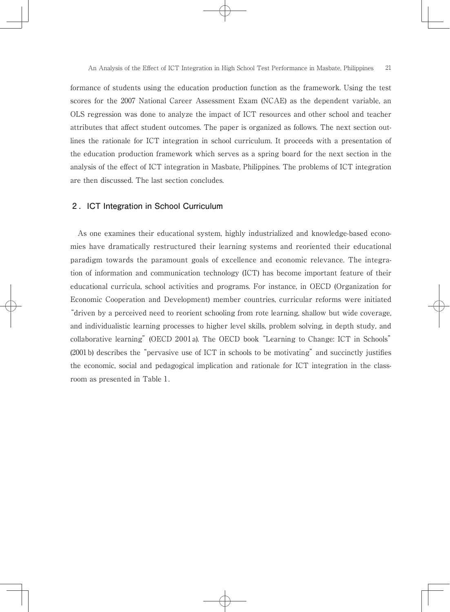formance of students using the education production function as the framework. Using the test scores for the 2007 National Career Assessment Exam (NCAE) as the dependent variable, an OLS regression was done to analyze the impact of ICT resources and other school and teacher attributes that affect student outcomes. The paper is organized as follows. The next section outlines the rationale for ICT integration in school curriculum. It proceeds with a presentation of the education production framework which serves as a spring board for the next section in the analysis of the effect of ICT integration in Masbate, Philippines. The problems of ICT integration are then discussed. The last section concludes.

# **2 .ICT Integration in School Curriculum**

As one examines their educational system, highly industrialized and knowledge-based economies have dramatically restructured their learning systems and reoriented their educational paradigm towards the paramount goals of excellence and economic relevance. The integration of information and communication technology (ICT) has become important feature of their educational curricula, school activities and programs. For instance, in OECD (Organization for Economic Cooperation and Development) member countries, curricular reforms were initiated "driven by a perceived need to reorient schooling from rote learning, shallow but wide coverage, and individualistic learning processes to higher level skills, problem solving, in depth study, and collaborative learning" (OECD 2001 a). The OECD book "Learning to Change: ICT in Schools" (2001b) describes the "pervasive use of ICT in schools to be motivating" and succinctly justifies the economic, social and pedagogical implication and rationale for ICT integration in the classroom as presented in Table 1.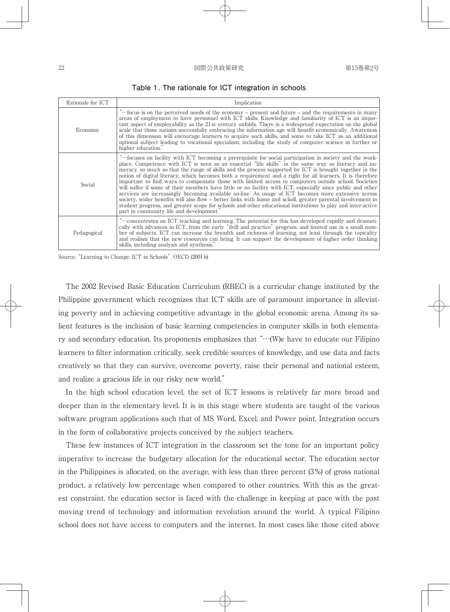#### $\Box$ 22 国際公共政策研究 第15巻第2号

| Rationale for ICT | Implication                                                                                                                                                                                                                                                                                                                                                                                                                                                                                                                                                                                                                                                                                                                                                                                                                                                                                                                                                                                                                                       |  |  |
|-------------------|---------------------------------------------------------------------------------------------------------------------------------------------------------------------------------------------------------------------------------------------------------------------------------------------------------------------------------------------------------------------------------------------------------------------------------------------------------------------------------------------------------------------------------------------------------------------------------------------------------------------------------------------------------------------------------------------------------------------------------------------------------------------------------------------------------------------------------------------------------------------------------------------------------------------------------------------------------------------------------------------------------------------------------------------------|--|--|
| Economic          | "focus is on the perceived needs of the economy – present and future – and the requirements in many<br>areas of employment to have personnel with ICT skills. Knowledge and familiarity of ICT is an impor-<br>tant aspect of employability as the 21st century unfolds. There is a widespread expectation on the global<br>scale that those nations successfully embracing the information age will benefit economically. Awareness<br>of this dimension will encourage learners to acquire such skills, and some to take ICT as an additional<br>optional subject leading to vocational specialism, including the study of computer science in further or<br>higher education."                                                                                                                                                                                                                                                                                                                                                                 |  |  |
| Social            | "focuses on facility with ICT becoming a prerequisite for social participation in society and the work-<br>place. Competence with ICT is seen as an essential "life skills" in the same way as literacy and nu-<br>meracy, so much so that the range of skills and the process supported by ICT is brought together in the<br>notion of digital literacy, which becomes both a requirement and a right for all learners. It is therefore<br>important to find ways to compensate those with limited access to computers outside school. Societies<br>will suffer if some of their members have little or no facility with ICT, especially since public and other<br>services are increasingly becoming available on-line. As usage of ICT becomes more extensive across<br>society, wider benefits will also flow – better links with home and scholl, greater parental involvement in<br>student progress, and greater scope for schools and other educational institutions to play and inter-active<br>part in community life and development." |  |  |
| Pedagogical       | "concentrates on ICT teaching and learning. The potential for this has developed rapidly and dramati-<br>cally with advances in ICT, from the early "drill and practice" program, and limited use in a small num-<br>ber of subjects. ICT can increase the breadth and richness of learning, not least through the topicality<br>and realism that the new resources can bring. It can support the development of higher order thinking<br>skills, including analysis and synthesis."                                                                                                                                                                                                                                                                                                                                                                                                                                                                                                                                                              |  |  |

**Table 1. The rationale for ICT integration in schools**

Source: "Learning to Change: ICT in Schools". OECD (2001b)

The 2002 Revised Basic Education Curriculum (RBEC) is a curricular change instituted by the Philippine government which recognizes that ICT skills are of paramount importance in alleviating poverty and in achieving competitive advantage in the global economic arena. Among its salient features is the inclusion of basic learning competencies in computer skills in both elementary and secondary education. Its proponents emphasizes that  $\cdots$ . (W) have to educate our Filipino learners to filter information critically, seek credible sources of knowledge, and use data and facts creatively so that they can survive, overcome poverty, raise their personal and national esteem, and realize a gracious life in our risky new world."

In the high school education level, the set of ICT lessons is relatively far more broad and deeper than in the elementary level. It is in this stage where students are taught of the various software program applications such that of MS Word, Excel, and Power point. Integration occurs in the form of collaborative projects conceived by the subject teachers.

These few instances of ICT integration in the classroom set the tone for an important policy imperative to increase the budgetary allocation for the educational sector. The education sector in the Philippines is allocated, on the average, with less than three percent (3%) of gross national product, a relatively low percentage when compared to other countries. With this as the greatest constraint, the education sector is faced with the challenge in keeping at pace with the past moving trend of technology and information revolution around the world. A typical Filipino school does not have access to computers and the internet. In most cases like those cited above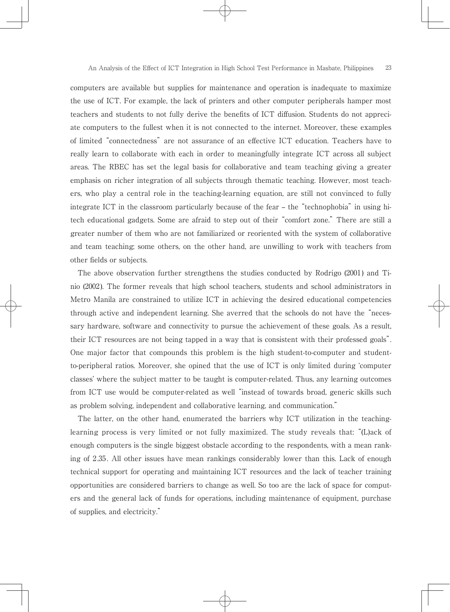computers are available but supplies for maintenance and operation is inadequate to maximize the use of ICT. For example, the lack of printers and other computer peripherals hamper most teachers and students to not fully derive the benefits of ICT diffusion. Students do not appreciate computers to the fullest when it is not connected to the internet. Moreover, these examples of limited "connectedness" are not assurance of an effective ICT education. Teachers have to really learn to collaborate with each in order to meaningfully integrate ICT across all subject areas. The RBEC has set the legal basis for collaborative and team teaching giving a greater emphasis on richer integration of all subjects through thematic teaching. However, most teachers, who play a central role in the teaching-learning equation, are still not convinced to fully integrate ICT in the classroom particularly because of the fear – the "technophobia" in using hitech educational gadgets. Some are afraid to step out of their "comfort zone." There are still a greater number of them who are not familiarized or reoriented with the system of collaborative and team teaching; some others, on the other hand, are unwilling to work with teachers from other fields or subjects.

The above observation further strengthens the studies conducted by Rodrigo (2001) and Tinio (2002). The former reveals that high school teachers, students and school administrators in Metro Manila are constrained to utilize ICT in achieving the desired educational competencies through active and independent learning. She averred that the schools do not have the "necessary hardware, software and connectivity to pursue the achievement of these goals. As a result, their ICT resources are not being tapped in a way that is consistent with their professed goals". One major factor that compounds this problem is the high student-to-computer and studentto-peripheral ratios. Moreover, she opined that the use of ICT is only limited during ʻcomputer classes' where the subject matter to be taught is computer-related. Thus, any learning outcomes from ICT use would be computer-related as well "instead of towards broad, generic skills such as problem solving, independent and collaborative learning, and communication."

The latter, on the other hand, enumerated the barriers why ICT utilization in the teachinglearning process is very limited or not fully maximized. The study reveals that: "(L)ack of enough computers is the single biggest obstacle according to the respondents, with a mean ranking of 2.35. All other issues have mean rankings considerably lower than this. Lack of enough technical support for operating and maintaining ICT resources and the lack of teacher training opportunities are considered barriers to change as well. So too are the lack of space for computers and the general lack of funds for operations, including maintenance of equipment, purchase of supplies, and electricity."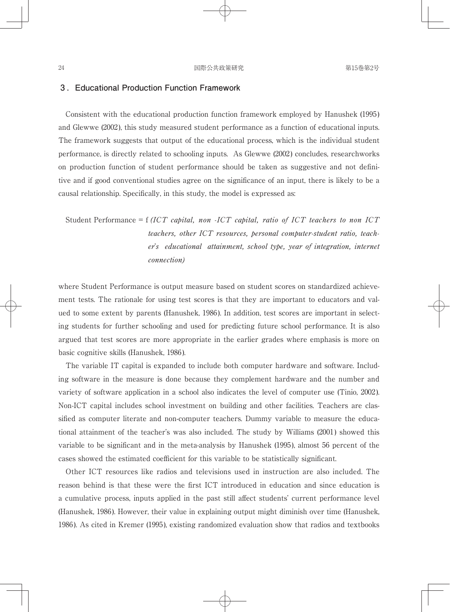# **3 .Educational Production Function Framework**

Consistent with the educational production function framework employed by Hanushek (1995) and Glewwe (2002), this study measured student performance as a function of educational inputs. The framework suggests that output of the educational process, which is the individual student performance, is directly related to schooling inputs. As Glewwe (2002) concludes, researchworks on production function of student performance should be taken as suggestive and not definitive and if good conventional studies agree on the significance of an input, there is likely to be a causal relationship. Specifically, in this study, the model is expressed as:

Student Performance = f (ICT capital, non -ICT capital, ratio of ICT teachers to non ICT teachers, other ICT resources, personal computer-student ratio, teacher's educational attainment, school type, year of integration, internet connection)

where Student Performance is output measure based on student scores on standardized achievement tests. The rationale for using test scores is that they are important to educators and valued to some extent by parents (Hanushek, 1986). In addition, test scores are important in selecting students for further schooling and used for predicting future school performance. It is also argued that test scores are more appropriate in the earlier grades where emphasis is more on basic cognitive skills (Hanushek, 1986).

The variable IT capital is expanded to include both computer hardware and software. Including software in the measure is done because they complement hardware and the number and variety of software application in a school also indicates the level of computer use (Tinio, 2002). Non-ICT capital includes school investment on building and other facilities. Teachers are classified as computer literate and non-computer teachers. Dummy variable to measure the educational attainment of the teacher's was also included. The study by Williams (2001) showed this variable to be significant and in the meta-analysis by Hanushek (1995), almost 56 percent of the cases showed the estimated coefficient for this variable to be statistically significant.

Other ICT resources like radios and televisions used in instruction are also included. The reason behind is that these were the first ICT introduced in education and since education is a cumulative process, inputs applied in the past still affect students' current performance level (Hanushek, 1986). However, their value in explaining output might diminish over time (Hanushek, 1986). As cited in Kremer (1995), existing randomized evaluation show that radios and textbooks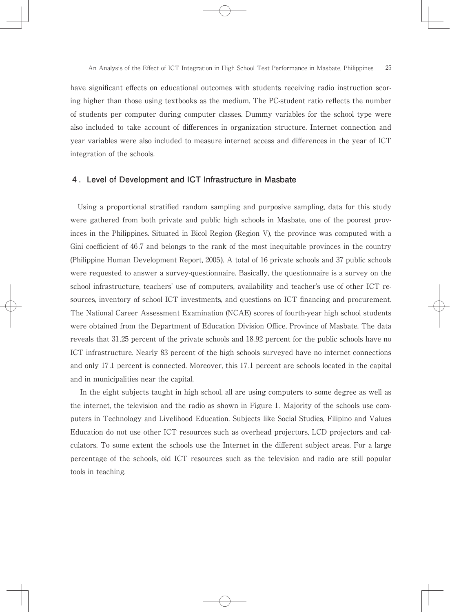have significant effects on educational outcomes with students receiving radio instruction scoring higher than those using textbooks as the medium. The PC-student ratio reflects the number of students per computer during computer classes. Dummy variables for the school type were also included to take account of differences in organization structure. Internet connection and year variables were also included to measure internet access and differences in the year of ICT integration of the schools.

# **4 .Level of Development and ICT Infrastructure in Masbate**

Using a proportional stratified random sampling and purposive sampling, data for this study were gathered from both private and public high schools in Masbate, one of the poorest provinces in the Philippines. Situated in Bicol Region (Region V), the province was computed with a Gini coefficient of 46.7 and belongs to the rank of the most inequitable provinces in the country (Philippine Human Development Report, 2005). A total of 16 private schools and 37 public schools were requested to answer a survey-questionnaire. Basically, the questionnaire is a survey on the school infrastructure, teachers' use of computers, availability and teacher's use of other ICT resources, inventory of school ICT investments, and questions on ICT financing and procurement. The National Career Assessment Examination (NCAE) scores of fourth-year high school students were obtained from the Department of Education Division Office, Province of Masbate. The data reveals that 31.25 percent of the private schools and 18.92 percent for the public schools have no ICT infrastructure. Nearly 83 percent of the high schools surveyed have no internet connections and only 17.1 percent is connected. Moreover, this 17.1 percent are schools located in the capital and in municipalities near the capital.

 In the eight subjects taught in high school, all are using computers to some degree as well as the internet, the television and the radio as shown in Figure 1. Majority of the schools use computers in Technology and Livelihood Education. Subjects like Social Studies, Filipino and Values Education do not use other ICT resources such as overhead projectors, LCD projectors and calculators. To some extent the schools use the Internet in the different subject areas. For a large percentage of the schools, old ICT resources such as the television and radio are still popular tools in teaching.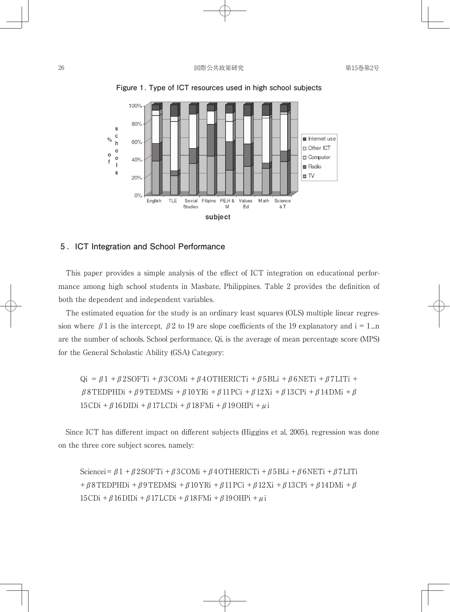

**Figure 1. Type of ICT resources used in high school subjects**

#### **5 .ICT Integration and School Performance**

This paper provides a simple analysis of the effect of ICT integration on educational performance among high school students in Masbate, Philippines. Table 2 provides the definition of both the dependent and independent variables.

The estimated equation for the study is an ordinary least squares (OLS) multiple linear regression where  $\beta$  1 is the intercept,  $\beta$  2 to 19 are slope coefficients of the 19 explanatory and i = 1...n are the number of schools. School performance, Qi, is the average of mean percentage score (MPS) for the General Scholastic Ability (GSA) Category:

Qi =  $\beta$ 1 +  $\beta$ 2SOFTi +  $\beta$ 3COMi +  $\beta$ 4OTHERICTi +  $\beta$ 5BLi +  $\beta$ 6NETi +  $\beta$ 7LITi + β8TEDPHDi +β9TEDMSi +β10YRi +β11PCi +β12Xi +β13CPi +β14DMi +β 15CDi +  $\beta$ 16DIDi +  $\beta$ 17LCDi +  $\beta$ 18FMi +  $\beta$ 19OHPi +  $\mu$ i

Since ICT has different impact on different subjects (Higgins et al, 2005), regression was done on the three core subject scores, namely:

Sciencei= $\beta$ 1 +  $\beta$ 2SOFTi +  $\beta$ 3COMi +  $\beta$ 4OTHERICTi +  $\beta$ 5BLi +  $\beta$ 6NETi +  $\beta$ 7LITi +β8TEDPHDi +β9TEDMSi +β10YRi +β11PCi +β12Xi +β13CPi +β14DMi +β  $15CDi + \beta 16DIDi + \beta 17LCDi + \beta 18FMi + \beta 19OHPi + \mu i$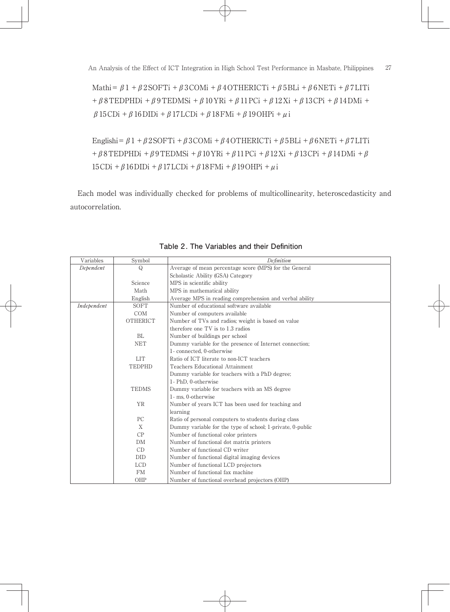Mathi= $\beta$ 1 +  $\beta$ 2SOFTi +  $\beta$ 3COMi +  $\beta$ 4OTHERICTi +  $\beta$ 5BLi +  $\beta$ 6NETi +  $\beta$ 7LITi +β8TEDPHDi +β9TEDMSi +β10YRi +β11PCi +β12Xi +β13CPi +β14DMi + β15CDi +β16DIDi +β17LCDi +β18FMi +β19OHPi +μi

Englishi= $\beta$ 1 +  $\beta$ 2SOFTi +  $\beta$ 3COMi +  $\beta$ 4OTHERICTi +  $\beta$ 5BLi +  $\beta$ 6NETi +  $\beta$ 7LITi  $+ \beta 8$ TEDPHDi + $\beta$ 9TEDMSi + $\beta$ 10YRi + $\beta$ 11PCi + $\beta$ 12Xi + $\beta$ 13CPi + $\beta$ 14DMi + $\beta$ 15CDi +  $\beta$ 16DIDi +  $\beta$ 17LCDi +  $\beta$ 18FMi +  $\beta$ 19OHPi +  $\mu$ i

Each model was individually checked for problems of multicollinearity, heteroscedasticity and autocorrelation.

| Variables   | Symbol          | Definition                                                 |  |  |  |
|-------------|-----------------|------------------------------------------------------------|--|--|--|
| Dependent   | $\Omega$        | Average of mean percentage score (MPS) for the General     |  |  |  |
|             |                 | Scholastic Ability (GSA) Category                          |  |  |  |
| Science     |                 | MPS in scientific ability                                  |  |  |  |
|             | Math            | MPS in mathematical ability                                |  |  |  |
|             | English         | Average MPS in reading comprehension and verbal ability    |  |  |  |
| Independent | SOFT            | Number of educational software available                   |  |  |  |
|             | COM             | Number of computers available                              |  |  |  |
|             | <b>OTHERICT</b> | Number of TVs and radios; weight is based on value         |  |  |  |
|             |                 | therefore one TV is to 1.3 radios                          |  |  |  |
|             | BL              | Number of buildings per school                             |  |  |  |
|             | <b>NET</b>      | Dummy variable for the presence of Internet connection;    |  |  |  |
|             |                 | 1-connected, 0-otherwise                                   |  |  |  |
|             | <b>LIT</b>      | Ratio of ICT literate to non-ICT teachers                  |  |  |  |
|             | <b>TEDPHD</b>   | <b>Teachers Educational Attainment</b>                     |  |  |  |
|             |                 | Dummy variable for teachers with a PhD degree;             |  |  |  |
|             |                 | 1- PhD. 0-otherwise                                        |  |  |  |
|             | <b>TEDMS</b>    | Dummy variable for teachers with an MS degree              |  |  |  |
|             |                 | 1 - ms. 0-otherwise                                        |  |  |  |
|             | <b>YR</b>       | Number of years ICT has been used for teaching and         |  |  |  |
|             |                 | learning                                                   |  |  |  |
|             | PC.             | Ratio of personal computers to students during class       |  |  |  |
|             | X               | Dummy variable for the type of school; 1-private, 0-public |  |  |  |
|             | CP              | Number of functional color printers                        |  |  |  |
|             | DM              | Number of functional dot matrix printers                   |  |  |  |
|             | CD              | Number of functional CD writer                             |  |  |  |
|             | DID             | Number of functional digital imaging devices               |  |  |  |
|             | <b>LCD</b>      | Number of functional LCD projectors                        |  |  |  |
|             | <b>FM</b>       | Number of functional fax machine                           |  |  |  |
|             | OHP             | Number of functional overhead projectors (OHP)             |  |  |  |

Table 2. The Variables and their Definition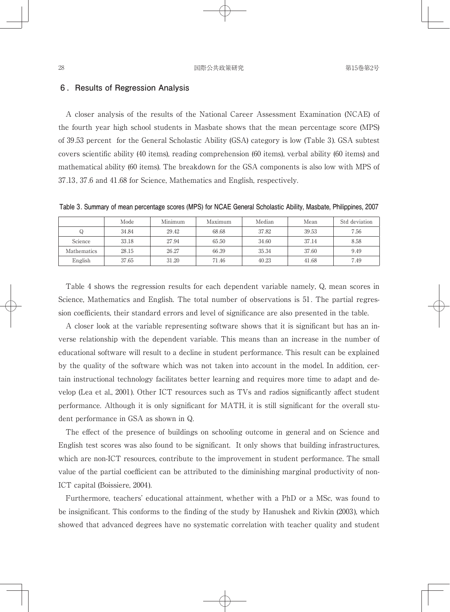#### **6 .Results of Regression Analysis**

A closer analysis of the results of the National Career Assessment Examination (NCAE) of the fourth year high school students in Masbate shows that the mean percentage score (MPS) of 39.53 percent for the General Scholastic Ability (GSA) category is low (Table 3). GSA subtest covers scientific ability (40 items), reading comprehension (60 items), verbal ability (60 items) and mathematical ability (60 items). The breakdown for the GSA components is also low with MPS of 37.13, 37.6 and 41.68 for Science, Mathematics and English, respectively.

**Table 3. Summary of mean percentage scores (MPS) for NCAE General Scholastic Ability, Masbate, Philippines, 2007**

|             | Mode  | Minimum | Maximum | Median | Mean  | Std deviation |
|-------------|-------|---------|---------|--------|-------|---------------|
| Q           | 34.84 | 29.42   | 68.68   | 37.82  | 39.53 | 7.56          |
| Science     | 33.18 | 27.94   | 65.50   | 34.60  | 37.14 | 8.58          |
| Mathematics | 28.15 | 26.27   | 66.39   | 35.34  | 37.60 | 9.49          |
| English     | 37.65 | 31.20   | 71.46   | 40.23  | 41.68 | 7.49          |

Table 4 shows the regression results for each dependent variable namely, Q, mean scores in Science, Mathematics and English. The total number of observations is 51. The partial regression coefficients, their standard errors and level of significance are also presented in the table.

A closer look at the variable representing software shows that it is significant but has an inverse relationship with the dependent variable. This means than an increase in the number of educational software will result to a decline in student performance. This result can be explained by the quality of the software which was not taken into account in the model. In addition, certain instructional technology facilitates better learning and requires more time to adapt and develop (Lea et al., 2001). Other ICT resources such as TVs and radios significantly affect student performance. Although it is only significant for MATH, it is still significant for the overall student performance in GSA as shown in Q.

The effect of the presence of buildings on schooling outcome in general and on Science and English test scores was also found to be significant. It only shows that building infrastructures, which are non-ICT resources, contribute to the improvement in student performance. The small value of the partial coefficient can be attributed to the diminishing marginal productivity of non-ICT capital (Boissiere, 2004).

Furthermore, teachers' educational attainment, whether with a PhD or a MSc, was found to be insignificant. This conforms to the finding of the study by Hanushek and Rivkin (2003), which showed that advanced degrees have no systematic correlation with teacher quality and student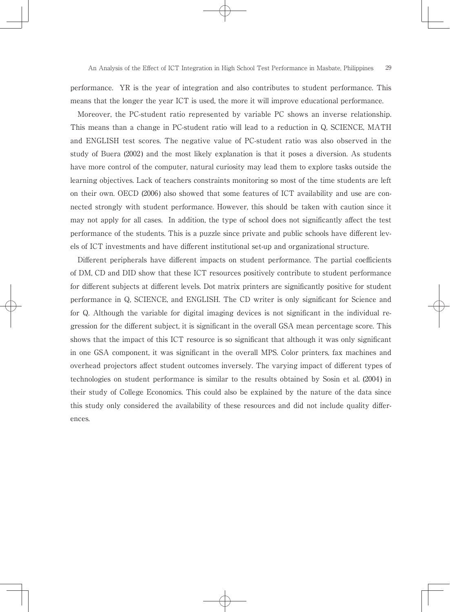performance. YR is the year of integration and also contributes to student performance. This means that the longer the year ICT is used, the more it will improve educational performance.

Moreover, the PC-student ratio represented by variable PC shows an inverse relationship. This means than a change in PC-student ratio will lead to a reduction in Q, SCIENCE, MATH and ENGLISH test scores. The negative value of PC-student ratio was also observed in the study of Buera (2002) and the most likely explanation is that it poses a diversion. As students have more control of the computer, natural curiosity may lead them to explore tasks outside the learning objectives. Lack of teachers constraints monitoring so most of the time students are left on their own. OECD (2006) also showed that some features of ICT availability and use are connected strongly with student performance. However, this should be taken with caution since it may not apply for all cases. In addition, the type of school does not significantly affect the test performance of the students. This is a puzzle since private and public schools have different levels of ICT investments and have different institutional set-up and organizational structure.

Different peripherals have different impacts on student performance. The partial coefficients of DM, CD and DID show that these ICT resources positively contribute to student performance for different subjects at different levels. Dot matrix printers are significantly positive for student performance in Q, SCIENCE, and ENGLISH. The CD writer is only significant for Science and for Q. Although the variable for digital imaging devices is not significant in the individual regression for the different subject, it is significant in the overall GSA mean percentage score. This shows that the impact of this ICT resource is so significant that although it was only significant in one GSA component, it was significant in the overall MPS. Color printers, fax machines and overhead projectors affect student outcomes inversely. The varying impact of different types of technologies on student performance is similar to the results obtained by Sosin et al. (2004) in their study of College Economics. This could also be explained by the nature of the data since this study only considered the availability of these resources and did not include quality differences.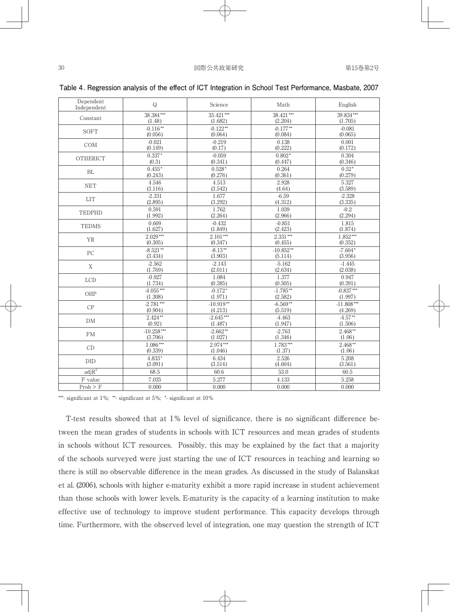| Dependent<br>Independent | Q            | Science     | Math        | English      |
|--------------------------|--------------|-------------|-------------|--------------|
| Constant                 | 38.384***    | $35.421***$ | 38.421***   | 39.834***    |
|                          | (1.48)       | (1.682)     | (2.204)     | (1.705)      |
| SOFT                     | $-0.116**$   | $-0.122**$  | $-0.177**$  | $-0.081$     |
|                          | (0.056)      | (0.064)     | (0.084)     | (0.065)      |
| COM                      | $-0.021$     | $-0.219$    | 0.138       | 0.001        |
|                          | (0.149)      | (0.17)      | (0.222)     | (0.172)      |
| OTHERICT                 | $0.337*$     | $-0.059$    | $0.802*$    | 0.304        |
|                          | (0.3)        | (0.341)     | (0.447)     | (0.346)      |
| BL                       | $0.455*$     | $0.528*$    | 0.264       | $0.52*$      |
|                          | (0.243)      | (0.276)     | (0.361)     | (0.279)      |
| <b>NET</b>               | 4.546        | 4.513       | 2.928       | 5.327        |
|                          | (3.116)      | (3.542)     | (4.64)      | (3.589)      |
| <b>LIT</b>               | $-2.331$     | 1.677       | $-6.59$     | $-2.328$     |
|                          | (2.895)      | (3.292)     | (4.312)     | (3.335)      |
| TEDPHD                   | 0.591        | 1.762       | 1.039       | $-0.2$       |
|                          | (1.992)      | (2.264)     | (2.966)     | (2.294)      |
| <b>TEDMS</b>             | 0.609        | $-0.432$    | $-0.851$    | 1.815        |
|                          | (1.627)      | (1.849)     | (2.423)     | (1.874)      |
| <b>YR</b>                | $2.029***$   | $2.101***$  | $2.331***$  | $1.852***$   |
|                          | (0.305)      | (0.347)     | (0.455)     | (0.352)      |
| PC                       | $-8.521**$   | $-8.13**$   | $-10.852**$ | $-7.604*$    |
|                          | (3.434)      | (3.903)     | (5.114)     | (3.956)      |
| X                        | $-2.562$     | $-2.143$    | $-5.162$    | $-1.445$     |
|                          | (1.769)      | (2.011)     | (2.634)     | (2.038)      |
| <b>LCD</b>               | $-0.927$     | 1.084       | 1.377       | 0.947        |
|                          | (1.734)      | (0.385)     | (0.505)     | (0.391)      |
| OHP                      | $-4.055***$  | $-0.172*$   | $-1.785**$  | $-0.837***$  |
|                          | (1.308)      | (1.971)     | (2.582)     | (1.997)      |
| CP                       | $-2.781***$  | $-10.919**$ | $-6.569**$  | $-11.808***$ |
|                          | (0.904)      | (4.213)     | (5.519)     | (4.269)      |
| DM                       | $2.424**$    | $-2.645***$ | -4.463      | $-4.57**$    |
|                          | (0.92)       | (1.487)     | (1.947)     | (1.506)      |
| <b>FM</b>                | $-10.258***$ | $-2.662**$  | $-2.763$    | $2.468**$    |
|                          | (3.706)      | (1.027)     | (1.346)     | (1.06)       |
| CD                       | $1.086***$   | $2.974***$  | $1.783***$  | $2.468**$    |
|                          | (0.339)      | (1.046)     | (1.37)      | (1.06)       |
| <b>DID</b>               | 4.833*       | 6.434       | 2.526       | 5.208        |
|                          | (3.091)      | (3.514)     | (4.604)     | (3.561)      |
| adiR <sup>2</sup>        | 68.5         | 60.6        | 53.0        | 60.5         |
| F value                  | 7.035        | 5.277       | 4.133       | 5.258        |
| Prob > F                 | 0.000        | 0.000       | 0.000       | 0.000        |

Table 4. Regression analysis of the effect of ICT Integration in School Test Performance, Masbate, 2007

\*\*\*- significant at  $1\%$ ; \*\*- significant at  $5\%$ ; \*- significant at  $10\%$ 

T-test results showed that at  $1\%$  level of significance, there is no significant difference between the mean grades of students in schools with ICT resources and mean grades of students in schools without ICT resources. Possibly, this may be explained by the fact that a majority of the schools surveyed were just starting the use of ICT resources in teaching and learning so there is still no observable difference in the mean grades. As discussed in the study of Balanskat et al. (2006), schools with higher e-maturity exhibit a more rapid increase in student achievement than those schools with lower levels. E-maturity is the capacity of a learning institution to make effective use of technology to improve student performance. This capacity develops through time. Furthermore, with the observed level of integration, one may question the strength of ICT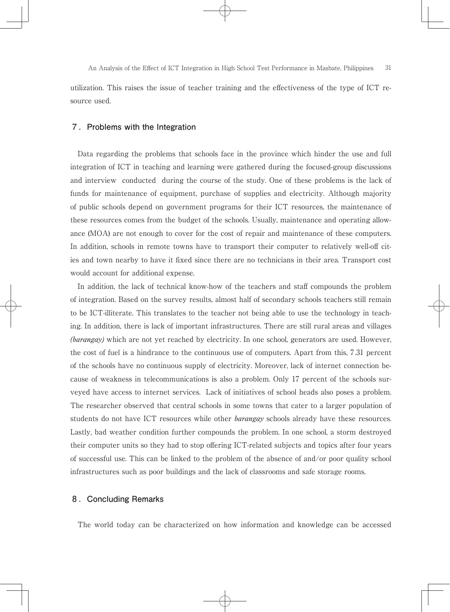utilization. This raises the issue of teacher training and the effectiveness of the type of ICT resource used.

# **7 .Problems with the Integration**

Data regarding the problems that schools face in the province which hinder the use and full integration of ICT in teaching and learning were gathered during the focused-group discussions and interview conducted during the course of the study. One of these problems is the lack of funds for maintenance of equipment, purchase of supplies and electricity. Although majority of public schools depend on government programs for their ICT resources, the maintenance of these resources comes from the budget of the schools. Usually, maintenance and operating allowance (MOA) are not enough to cover for the cost of repair and maintenance of these computers. In addition, schools in remote towns have to transport their computer to relatively well-off cities and town nearby to have it fixed since there are no technicians in their area. Transport cost would account for additional expense.

In addition, the lack of technical know-how of the teachers and staff compounds the problem of integration. Based on the survey results, almost half of secondary schools teachers still remain to be ICT-illiterate. This translates to the teacher not being able to use the technology in teaching. In addition, there is lack of important infrastructures. There are still rural areas and villages (*barangay*) which are not yet reached by electricity. In one school, generators are used. However, the cost of fuel is a hindrance to the continuous use of computers. Apart from this, 7.31 percent of the schools have no continuous supply of electricity. Moreover, lack of internet connection because of weakness in telecommunications is also a problem. Only 17 percent of the schools surveyed have access to internet services. Lack of initiatives of school heads also poses a problem. The researcher observed that central schools in some towns that cater to a larger population of students do not have ICT resources while other *barangay* schools already have these resources. Lastly, bad weather condition further compounds the problem. In one school, a storm destroyed their computer units so they had to stop offering ICT-related subjects and topics after four years of successful use. This can be linked to the problem of the absence of and/or poor quality school infrastructures such as poor buildings and the lack of classrooms and safe storage rooms.

# **8 .Concluding Remarks**

The world today can be characterized on how information and knowledge can be accessed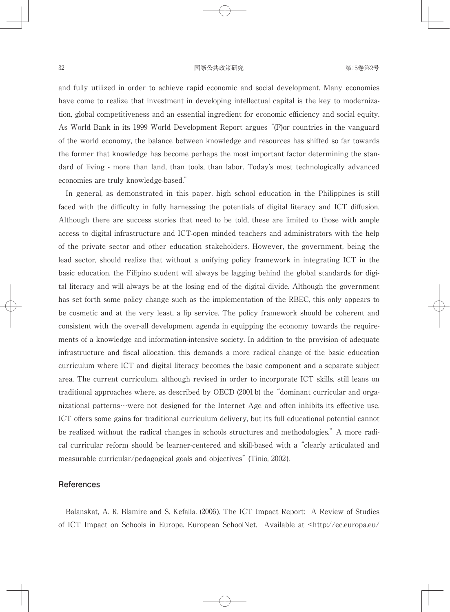#### 32 **国際公共政策研究** 第15巻第2号

and fully utilized in order to achieve rapid economic and social development. Many economies have come to realize that investment in developing intellectual capital is the key to modernization, global competitiveness and an essential ingredient for economic efficiency and social equity. As World Bank in its 1999 World Development Report argues "(F)or countries in the vanguard of the world economy, the balance between knowledge and resources has shifted so far towards the former that knowledge has become perhaps the most important factor determining the standard of living - more than land, than tools, than labor. Today's most technologically advanced economies are truly knowledge-based."

In general, as demonstrated in this paper, high school education in the Philippines is still faced with the difficulty in fully harnessing the potentials of digital literacy and ICT diffusion. Although there are success stories that need to be told, these are limited to those with ample access to digital infrastructure and ICT-open minded teachers and administrators with the help of the private sector and other education stakeholders. However, the government, being the lead sector, should realize that without a unifying policy framework in integrating ICT in the basic education, the Filipino student will always be lagging behind the global standards for digital literacy and will always be at the losing end of the digital divide. Although the government has set forth some policy change such as the implementation of the RBEC, this only appears to be cosmetic and at the very least, a lip service. The policy framework should be coherent and consistent with the over-all development agenda in equipping the economy towards the requirements of a knowledge and information-intensive society. In addition to the provision of adequate infrastructure and fiscal allocation, this demands a more radical change of the basic education curriculum where ICT and digital literacy becomes the basic component and a separate subject area. The current curriculum, although revised in order to incorporate ICT skills, still leans on traditional approaches where, as described by OECD (2001b) the "dominant curricular and organizational patterns…were not designed for the Internet Age and often inhibits its effective use. ICT offers some gains for traditional curriculum delivery, but its full educational potential cannot be realized without the radical changes in schools structures and methodologies." A more radical curricular reform should be learner-centered and skill-based with a "clearly articulated and measurable curricular/pedagogical goals and objectives" (Tinio, 2002).

#### **References**

Balanskat, A. R. Blamire and S. Kefalla. (2006). The ICT Impact Report: A Review of Studies of ICT Impact on Schools in Europe. European SchoolNet. Available at <http://ec.europa.eu/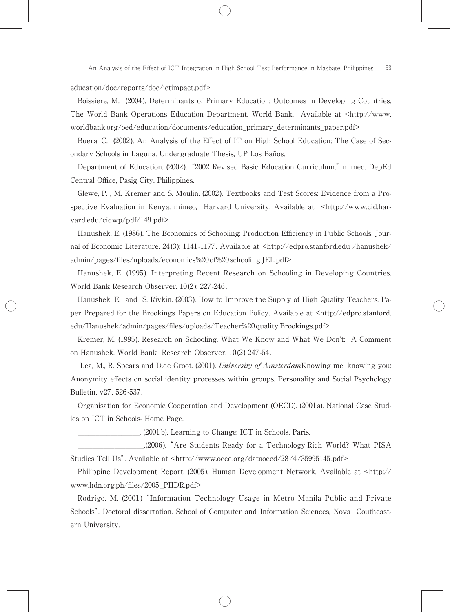education/doc/reports/doc/ictimpact.pdf>

Boissiere, M. (2004). Determinants of Primary Education: Outcomes in Developing Countries. The World Bank Operations Education Department. World Bank. Available at  $\langle \text{http://www.} \rangle$ worldbank.org/oed/education/documents/education\_primary\_determinants\_paper.pdf>

Buera, C. (2002). An Analysis of the Effect of IT on High School Education: The Case of Secondary Schools in Laguna. Undergraduate Thesis, UP Los Baños.

Department of Education. (2002). "2002 Revised Basic Education Curriculum." mimeo. DepEd Central Office, Pasig City. Philippines.

Glewe, P. , M. Kremer and S. Moulin. (2002). Textbooks and Test Scores: Evidence from a Prospective Evaluation in Kenya. mimeo, Harvard University. Available at <http://www.cid.harvard.edu/cidwp/pdf/149.pdf>

Hanushek, E. (1986). The Economics of Schooling: Production Efficiency in Public Schools. Journal of Economic Literature. 24(3): 1141-1177. Available at  $\langle \text{http://edpro.stanford.edu/hanushek/}$ admin/pages/files/uploads/economics%20of%20schooling.JEL.pdf>

Hanushek, E. (1995). Interpreting Recent Research on Schooling in Developing Countries. World Bank Research Observer. 10(2): 227-246.

Hanushek, E. and S. Rivkin. (2003). How to Improve the Supply of High Quality Teachers. Paper Prepared for the Brookings Papers on Education Policy. Available at <http://edpro.stanford. edu/Hanushek/admin/pages/fi les/uploads/Teacher%20quality.Brookings.pdf>

Kremer, M. (1995). Research on Schooling. What We Know and What We Don't: A Comment on Hanushek. World Bank Research Observer. 10(2) 247-54.

Lea, M., R. Spears and D.de Groot. (2001). *University of Amsterdam*Knowing me, knowing you: Anonymity effects on social identity processes within groups. Personality and Social Psychology Bulletin. v27. 526-537.

Organisation for Economic Cooperation and Development (OECD). (2001a). National Case Studies on ICT in Schools- Home Page.

\_\_\_\_\_\_\_\_\_\_\_\_\_\_\_\_\_. (2001b). Learning to Change: ICT in Schools. Paris.

\_\_\_\_\_\_\_\_\_\_\_\_\_\_\_\_\_\_.(2006). "Are Students Ready for a Technology-Rich World? What PISA Studies Tell Us". Available at <http://www.oecd.org/dataoecd/28/4/35995145.pdf>

Philippine Development Report. (2005). Human Development Network. Available at  $\langle$ http:// www.hdn.org.ph/files/2005\_PHDR.pdf>

Rodrigo, M. (2001) "Information Technology Usage in Metro Manila Public and Private Schools". Doctoral dissertation. School of Computer and Information Sciences, Nova Coutheastern University.